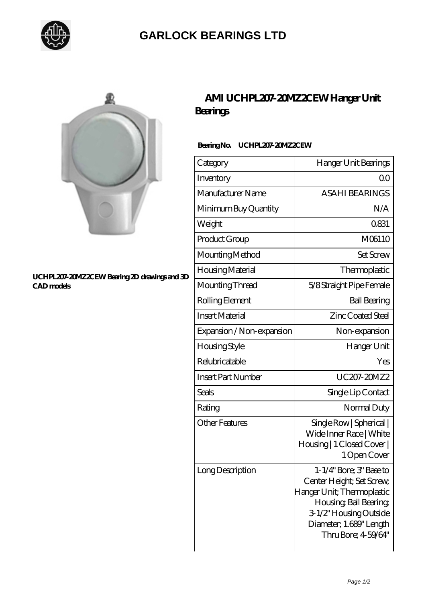

## **[GARLOCK BEARINGS LTD](https://m.letterstopriests.com)**



#### **[UCHPL207-20MZ2CEW Bearing 2D drawings and 3D](https://m.letterstopriests.com/pic-189149.html) [CAD models](https://m.letterstopriests.com/pic-189149.html)**

## **[AMI UCHPL207-20MZ2CEW Hanger Unit](https://m.letterstopriests.com/aI-189149-ami-uchpl207-20mz2cew-hanger-unit-bearings.html) [Bearings](https://m.letterstopriests.com/aI-189149-ami-uchpl207-20mz2cew-hanger-unit-bearings.html)**

### **Bearing No. UCHPL207-20MZ2CEW**

| Category                  | Hanger Unit Bearings                                                                                                                                                                     |
|---------------------------|------------------------------------------------------------------------------------------------------------------------------------------------------------------------------------------|
| Inventory                 | Q0                                                                                                                                                                                       |
| Manufacturer Name         | <b>ASAHI BEARINGS</b>                                                                                                                                                                    |
| Minimum Buy Quantity      | N/A                                                                                                                                                                                      |
| Weight                    | 0831                                                                                                                                                                                     |
| Product Group             | M06110                                                                                                                                                                                   |
| Mounting Method           | <b>Set Screw</b>                                                                                                                                                                         |
| Housing Material          | Thermoplastic                                                                                                                                                                            |
| Mounting Thread           | 5/8 Straight Pipe Female                                                                                                                                                                 |
| Rolling Element           | <b>Ball Bearing</b>                                                                                                                                                                      |
| <b>Insert Material</b>    | Zinc Coated Steel                                                                                                                                                                        |
| Expansion / Non-expansion | Non-expansion                                                                                                                                                                            |
| Housing Style             | Hanger Unit                                                                                                                                                                              |
| Relubricatable            | Yes                                                                                                                                                                                      |
| <b>Insert Part Number</b> | UC207-20MZ2                                                                                                                                                                              |
| Seals                     | Single Lip Contact                                                                                                                                                                       |
| Rating                    | Normal Duty                                                                                                                                                                              |
| <b>Other Features</b>     | Single Row   Spherical  <br>Wide Inner Race   White<br>Housing   1 Closed Cover  <br>1 Open Cover                                                                                        |
| Long Description          | 1-1/4" Bore; 3" Base to<br>Center Height; Set Screw,<br>Hanger Unit; Thermoplastic<br>Housing, Ball Bearing,<br>3-1/2" Housing Outside<br>Diameter; 1.689" Length<br>Thru Bore; 4-59/64" |